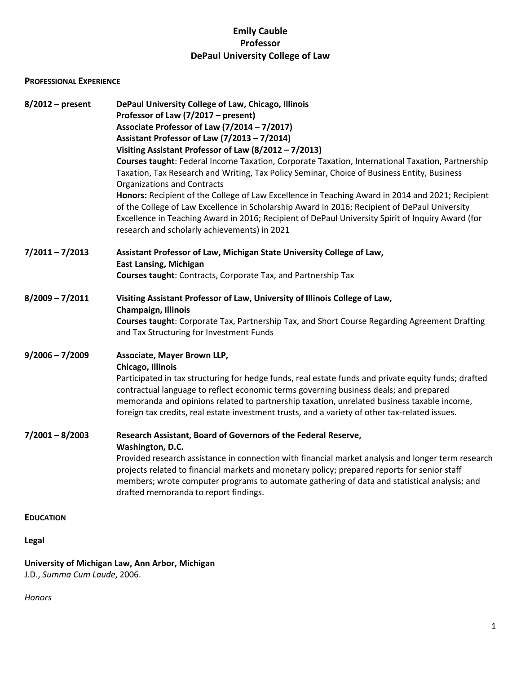### **Emily Cauble Professor DePaul University College of Law**

### **PROFESSIONAL EXPERIENCE**

| $8/2012$ – present | DePaul University College of Law, Chicago, Illinois<br>Professor of Law (7/2017 – present)<br>Associate Professor of Law (7/2014 - 7/2017)<br>Assistant Professor of Law (7/2013 - 7/2014)<br>Visiting Assistant Professor of Law (8/2012 - 7/2013)<br>Courses taught: Federal Income Taxation, Corporate Taxation, International Taxation, Partnership<br>Taxation, Tax Research and Writing, Tax Policy Seminar, Choice of Business Entity, Business<br>Organizations and Contracts<br>Honors: Recipient of the College of Law Excellence in Teaching Award in 2014 and 2021; Recipient<br>of the College of Law Excellence in Scholarship Award in 2016; Recipient of DePaul University<br>Excellence in Teaching Award in 2016; Recipient of DePaul University Spirit of Inquiry Award (for<br>research and scholarly achievements) in 2021 |
|--------------------|-------------------------------------------------------------------------------------------------------------------------------------------------------------------------------------------------------------------------------------------------------------------------------------------------------------------------------------------------------------------------------------------------------------------------------------------------------------------------------------------------------------------------------------------------------------------------------------------------------------------------------------------------------------------------------------------------------------------------------------------------------------------------------------------------------------------------------------------------|
| $7/2011 - 7/2013$  | Assistant Professor of Law, Michigan State University College of Law,<br><b>East Lansing, Michigan</b><br>Courses taught: Contracts, Corporate Tax, and Partnership Tax                                                                                                                                                                                                                                                                                                                                                                                                                                                                                                                                                                                                                                                                         |
| $8/2009 - 7/2011$  | Visiting Assistant Professor of Law, University of Illinois College of Law,<br><b>Champaign, Illinois</b><br>Courses taught: Corporate Tax, Partnership Tax, and Short Course Regarding Agreement Drafting<br>and Tax Structuring for Investment Funds                                                                                                                                                                                                                                                                                                                                                                                                                                                                                                                                                                                          |
| $9/2006 - 7/2009$  | Associate, Mayer Brown LLP,<br>Chicago, Illinois<br>Participated in tax structuring for hedge funds, real estate funds and private equity funds; drafted<br>contractual language to reflect economic terms governing business deals; and prepared<br>memoranda and opinions related to partnership taxation, unrelated business taxable income,<br>foreign tax credits, real estate investment trusts, and a variety of other tax-related issues.                                                                                                                                                                                                                                                                                                                                                                                               |
| $7/2001 - 8/2003$  | Research Assistant, Board of Governors of the Federal Reserve,<br>Washington, D.C.<br>Provided research assistance in connection with financial market analysis and longer term research<br>projects related to financial markets and monetary policy; prepared reports for senior staff<br>members; wrote computer programs to automate gathering of data and statistical analysis; and<br>drafted memoranda to report findings.                                                                                                                                                                                                                                                                                                                                                                                                               |
| <b>EDUCATION</b>   |                                                                                                                                                                                                                                                                                                                                                                                                                                                                                                                                                                                                                                                                                                                                                                                                                                                 |
| <b>Legal</b>       |                                                                                                                                                                                                                                                                                                                                                                                                                                                                                                                                                                                                                                                                                                                                                                                                                                                 |

## **University of Michigan Law, Ann Arbor, Michigan**

J.D., *Summa Cum Laude*, 2006.

*Honors*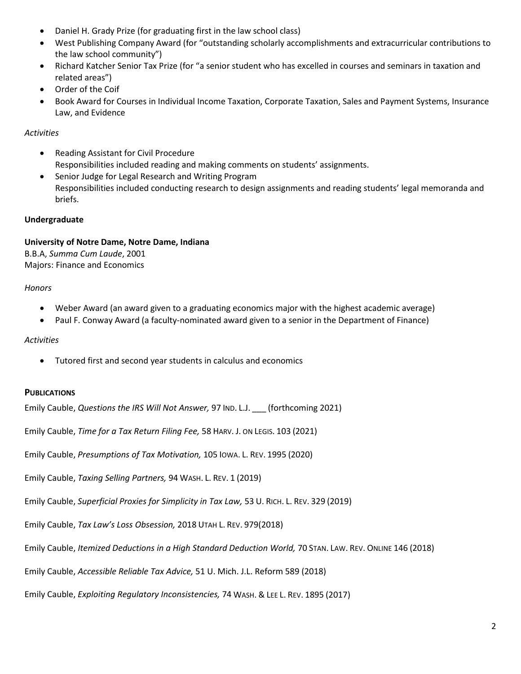- Daniel H. Grady Prize (for graduating first in the law school class)
- West Publishing Company Award (for "outstanding scholarly accomplishments and extracurricular contributions to the law school community")
- Richard Katcher Senior Tax Prize (for "a senior student who has excelled in courses and seminars in taxation and related areas")
- Order of the Coif
- Book Award for Courses in Individual Income Taxation, Corporate Taxation, Sales and Payment Systems, Insurance Law, and Evidence

#### *Activities*

- Reading Assistant for Civil Procedure Responsibilities included reading and making comments on students' assignments.
- Senior Judge for Legal Research and Writing Program Responsibilities included conducting research to design assignments and reading students' legal memoranda and briefs.

### **Undergraduate**

# **University of Notre Dame, Notre Dame, Indiana**

B.B.A, *Summa Cum Laude*, 2001 Majors: Finance and Economics

### *Honors*

- Weber Award (an award given to a graduating economics major with the highest academic average)
- Paul F. Conway Award (a faculty-nominated award given to a senior in the Department of Finance)

### *Activities*

• Tutored first and second year students in calculus and economics

### **PUBLICATIONS**

Emily Cauble, *Questions the IRS Will Not Answer,* 97 IND. L.J. \_\_\_ (forthcoming 2021)

Emily Cauble, *Time for a Tax Return Filing Fee,* 58 HARV. J. ON LEGIS. 103 (2021)

Emily Cauble, *Presumptions of Tax Motivation,* 105 IOWA. L. REV. 1995 (2020)

Emily Cauble, *Taxing Selling Partners,* 94 WASH. L. REV. 1 (2019)

Emily Cauble, *Superficial Proxies for Simplicity in Tax Law,* 53 U. RICH. L. REV. 329 (2019)

Emily Cauble, *Tax Law's Loss Obsession,* 2018 UTAH L. REV. 979(2018)

Emily Cauble, *Itemized Deductions in a High Standard Deduction World,* 70 STAN. LAW. REV. ONLINE 146 (2018)

Emily Cauble, *Accessible Reliable Tax Advice,* 51 U. Mich. J.L. Reform 589 (2018)

Emily Cauble, *Exploiting Regulatory Inconsistencies,* 74 WASH. & LEE L. REV. 1895 (2017)